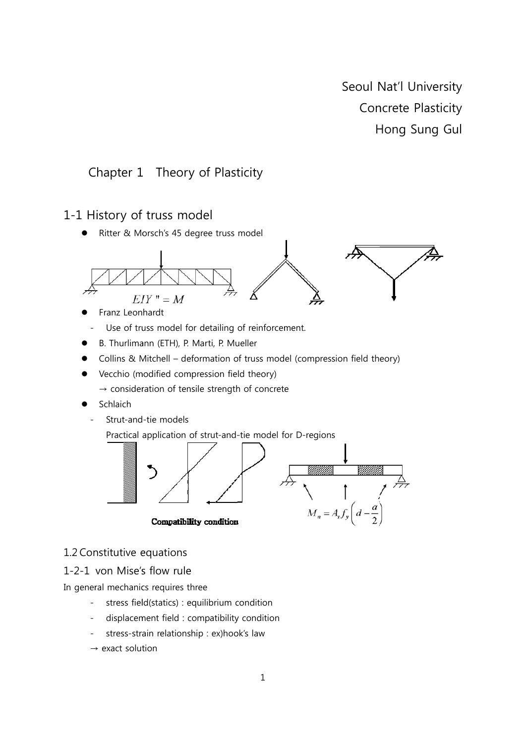Seoul Nat'l University Concrete Plasticity Hong Sung Gul

# Chapter 1 Theory of Plasticity

# 1-1 History of truss model

Ritter & Morsch's 45 degree truss model



- Franz Leonhardt
- Use of truss model for detailing of reinforcement.
- B. Thurlimann (ETH), P. Marti, P. Mueller
- Collins & Mitchell deformation of truss model (compression field theory)
- Vecchio (modified compression field theory)
	- $\rightarrow$  consideration of tensile strength of concrete
- Schlaich
	- Strut-and-tie models

Practical application of strut-and-tie model for D-regions



# 1.2 Constitutive equations

#### 1-2-1 von Mise's flow rule

In general mechanics requires three

- $\Box$ stress field(statics) : equilibrium condition
- displacement field : compatibility condition
- stress-strain relationship : ex)hook's law
- $\rightarrow$  exact solution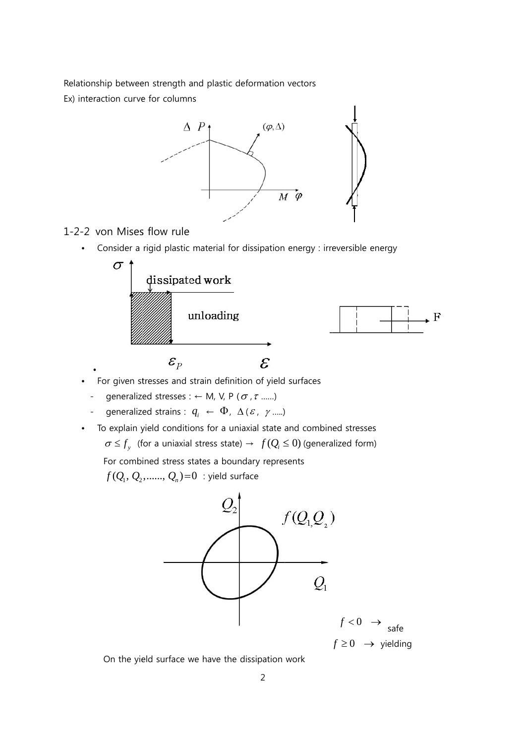Relationship between strength and plastic deformation vectors Ex) interaction curve for columns



#### 1-2-2 von Mises flow rule

•

• Consider a rigid plastic material for dissipation energy : irreversible energy



- For given stresses and strain definition of yield surfaces
	- qeneralized stresses :  $\leftarrow$  M, V, P ( $\sigma$ ,  $\tau$  .......)
	- generalized strains :  $q_i \leftarrow \Phi$ ,  $\Delta(\varepsilon, \gamma$  .....)
- To explain yield conditions for a uniaxial state and combined stresses  $\sigma \leq f_{y}$  (for a uniaxial stress state)  $\rightarrow f(Q_{i} \leq 0)$  (generalized form)

For combined stress states a boundary represents

 $f(Q_{\!\scriptscriptstyle 1},Q_{\!\scriptscriptstyle 2},......,Q_{\!\scriptscriptstyle n})\!=\!0\;$  : yield surface



 $f \geq 0 \rightarrow$  yielding

On the yield surface we have the dissipation work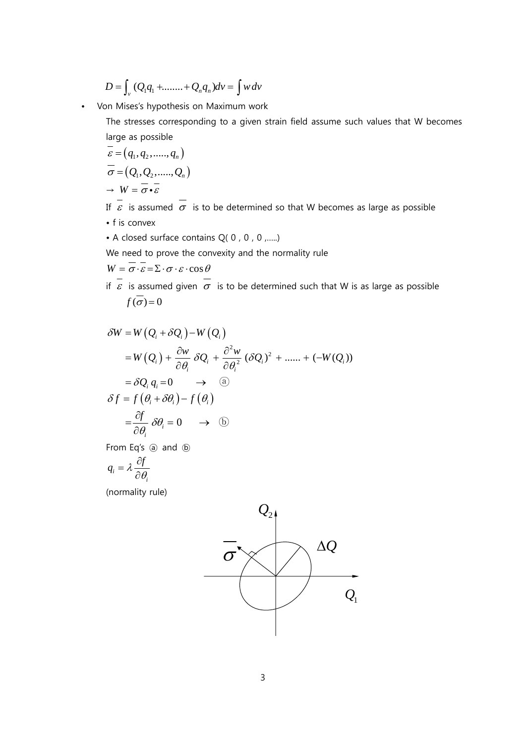$$
D = \int_{v} (Q_1 q_1 + \dots + Q_n q_n) dv = \int w dv
$$

• Von Mises's hypothesis on Maximum work

The stresses corresponding to a given strain field assume such values that W becomes large as possible

$$
\varepsilon = (q_1, q_2, \dots, q_n)
$$
  
\n
$$
\overline{\sigma} = (Q_1, Q_2, \dots, Q_n)
$$
  
\n
$$
\rightarrow W = \overline{\sigma} \cdot \overline{\varepsilon}
$$

If  $\overline{\epsilon}$  is assumed  $\overline{\sigma}$  is to be determined so that W becomes as large as possible

- f is convex
- A closed surface contains Q( 0 , 0 , 0 ,…..)

We need to prove the convexity and the normality rule

$$
W = \boldsymbol{\sigma} \cdot \boldsymbol{\varepsilon} = \boldsymbol{\Sigma} \cdot \boldsymbol{\sigma} \cdot \boldsymbol{\varepsilon} \cdot \cos \theta
$$

if  $\overline{\epsilon}$  is assumed given  $\overline{\sigma}$  is to be determined such that W is as large as possible  $f(\overline{\sigma}) = 0$ 

$$
\delta W = W (Q_i + \delta Q_i) - W (Q_i)
$$
  
=  $W (Q_i) + \frac{\partial w}{\partial \theta_i} \delta Q_i + \frac{\partial^2 w}{\partial \theta_i^2} (\delta Q_i)^2 + \dots + (-W(Q_i))$   
=  $\delta Q_i q_i = 0 \longrightarrow \textcircled{a}$   
 $\delta f = f (\theta_i + \delta \theta_i) - f (\theta_i)$   
=  $\frac{\partial f}{\partial \theta_i} \delta \theta_i = 0 \longrightarrow \textcircled{b}$ 

From Eq's @ and  $\omega$ 

$$
q_i = \lambda \frac{\partial f}{\partial \theta_i}
$$

(normality rule)

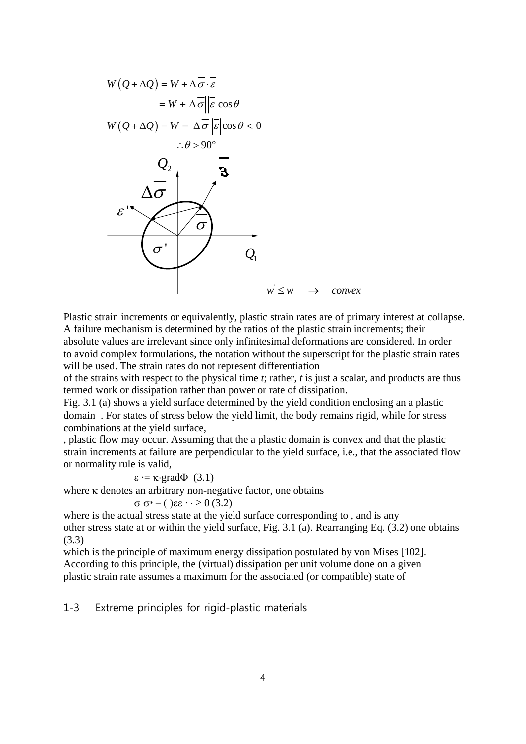

Plastic strain increments or equivalently, plastic strain rates are of primary interest at collapse. A failure mechanism is determined by the ratios of the plastic strain increments; their absolute values are irrelevant since only infinitesimal deformations are considered. In order to avoid complex formulations, the notation without the superscript for the plastic strain rates will be used. The strain rates do not represent differentiation

of the strains with respect to the physical time *t*; rather, *t* is just a scalar, and products are thus termed work or dissipation rather than power or rate of dissipation.

Fig. 3.1 (a) shows a yield surface determined by the yield condition enclosing an a plastic domain . For states of stress below the yield limit, the body remains rigid, while for stress combinations at the yield surface,

, plastic flow may occur. Assuming that the a plastic domain is convex and that the plastic strain increments at failure are perpendicular to the yield surface, i.e., that the associated flow or normality rule is valid,

 $\varepsilon = \kappa \cdot \text{grad}\Phi$  (3.1)

where κ denotes an arbitrary non-negative factor, one obtains

$$
\sigma \sigma^* - (\ \varepsilon \varepsilon \cdot \cdot \geq 0 \, (3.2)
$$

where is the actual stress state at the yield surface corresponding to , and is any other stress state at or within the yield surface, Fig. 3.1 (a). Rearranging Eq. (3.2) one obtains (3.3)

which is the principle of maximum energy dissipation postulated by von Mises [102]. According to this principle, the (virtual) dissipation per unit volume done on a given plastic strain rate assumes a maximum for the associated (or compatible) state of

1-3 Extreme principles for rigid-plastic materials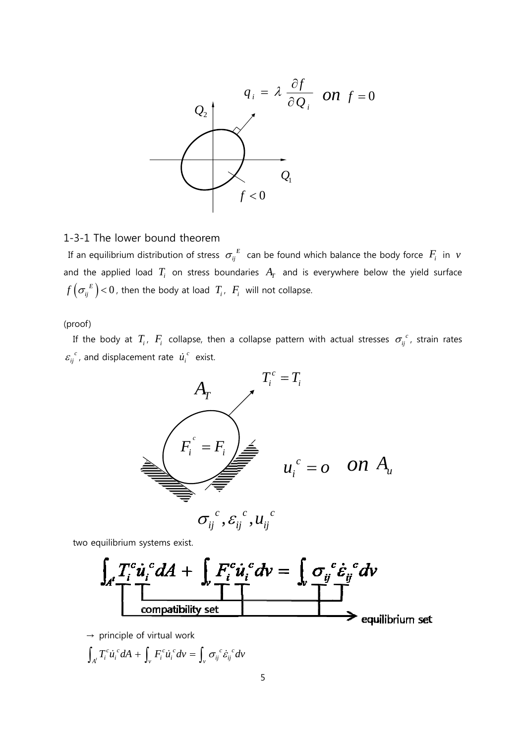

#### 1-3-1 T The lower bound th eorem

If an equilibrium distribution of stress  $\sigma_{ij}^E$  can be found which balance the body force  $F_i$  in  $\nu$ and the applied load  $T_i$  on stress boundaries  $A_T$  and is everywhere below the yield surface  $f\left(\sigma_{ij}^{\phantom{ij}E}\right)$  < 0, then the body at load  $\phantom{i}T_i$ ,  $\phantom{i}F_i$  will not collapse.

(proof)

If the body at  $T_i$ ,  $F_i$  collapse, then a collapse pattern with actual stresses  $\sigma_{ij}^{c}$ , strain rates  $\varepsilon_{ij}^{\ \ c}$ , and displacement rate  $\ \dot{u}_i^{\ c}$  exist.



two equilibrium systems exist.



 $\rightarrow$  principle of virtual work

$$
\int_{A'} T_i^c \dot{u}_i^c dA + \int_{\nu} F_i^c \dot{u}_i^c d\nu = \int_{\nu} \sigma_{ij}^c \dot{\varepsilon}_{ij}^c d\nu
$$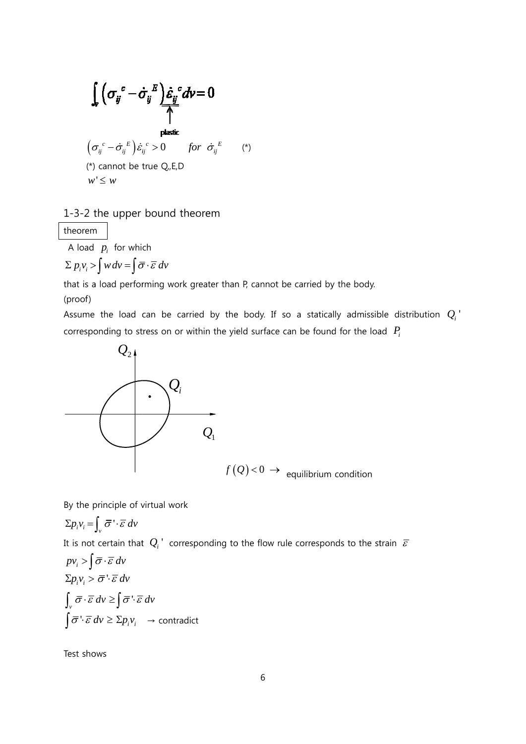$$
\int_{\mathbf{v}} \left( \sigma_{ij}^c - \dot{\sigma}_{ij}^E \right) \dot{\varepsilon}_{ij}^c d\mathbf{v} = 0
$$
\nplastic

\n
$$
\left( \sigma_{ij}^c - \dot{\sigma}_{ij}^E \right) \dot{\varepsilon}_{ij}^c > 0 \quad \text{for } \dot{\sigma}_{ij}^E \quad (*)
$$
\n(\*) cannot be true Q,E,D

\n
$$
w' \leq w
$$

## 1-3-2 t the upper bound th eorem

theorem m

A load  $p_i$  for which

 $\sum p_i v_i > \int w dv = \int \overline{\sigma} \cdot \overline{\varepsilon} dv$ 

that is a load performing work greater than P, cannot be carried by the body.

(proof)

Assume the load can be carried by the body. If so a statically admissible distribution  $Q_i^+$ corresponding to stress on or within the yield surface can be found for the load  $P_i$ 



By the principle of virtual work

$$
\Sigma p_i v_i = \int_{v} \overline{\sigma} \cdot \overline{\varepsilon} \, dv
$$

It is not certain that  $|Q_i|^*$  corresponding to the flow rule corresponds to the strain  $|\bar{\varepsilon}|$ 

$$
pv_i > \int \overline{\sigma} \cdot \overline{\varepsilon} \, dv
$$
  
\n
$$
\Sigma p_i v_i > \overline{\sigma} \cdot \overline{\varepsilon} \, dv
$$
  
\n
$$
\int_{v} \overline{\sigma} \cdot \overline{\varepsilon} \, dv \ge \int \overline{\sigma} \cdot \overline{\varepsilon} \, dv
$$
  
\n
$$
\int \overline{\sigma} \cdot \overline{\varepsilon} \, dv \ge \Sigma p_i v_i \rightarrow \text{contradict}
$$

Test shows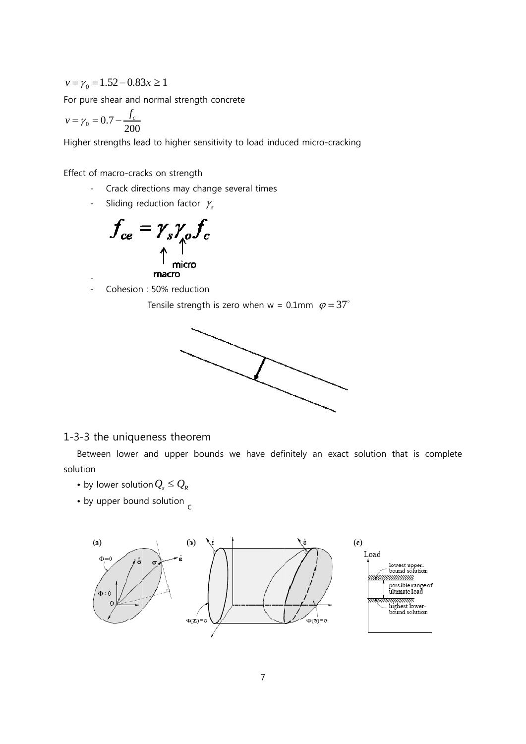$$
v = \gamma_0 = 1.52 - 0.83x \ge 1
$$

For pure shear and normal strength concrete

$$
v = \gamma_0 = 0.7 - \frac{f_c}{200}
$$

Higher strengths lead to higher sensitivity to load induced micro-cracking

Effect of macro-cracks on strength

- Crack directions may change several times
- Sliding reduction factor  $\gamma_s$



Cohesion: 50% reduction 

Tensile strength is zero when  $w = 0.1$ mm  $\varphi = 37^{\circ}$ 



## 1-3-3 the uniqueness theorem

Between lower and upper bounds we have definitely an exact solution that is complete solution

- by lower solution  $Q_s \leq Q_R$
- by upper bound solution  $\epsilon$

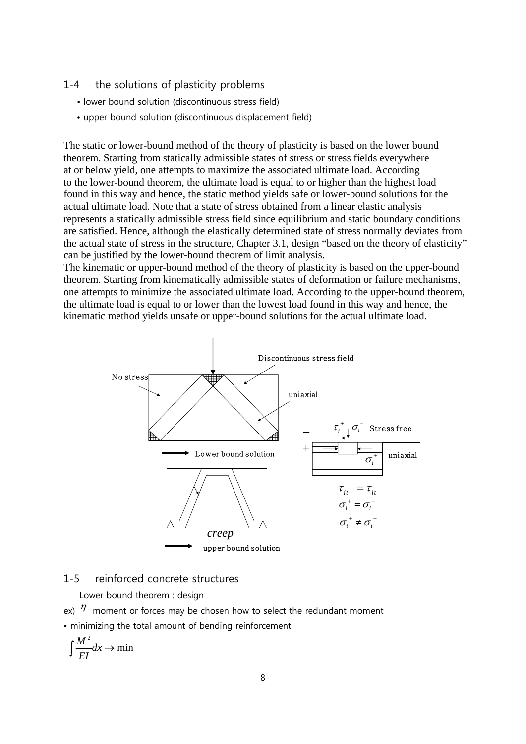#### 1-4 the solutions of plasticity problems

- lower bound solution (discontinuous stress field)
- upper bound solution (discontinuous displacement field)

The static or lower-bound method of the theory of plasticity is based on the lower bound theorem. Starting from statically admissible states of stress or stress fields everywhere at or below yield, one attempts to maximize the associated ultimate load. According to the lower-bound theorem, the ultimate load is equal to or higher than the highest load found in this way and hence, the static method yields safe or lower-bound solutions for the actual ultimate load. Note that a state of stress obtained from a linear elastic analysis represents a statically admissible stress field since equilibrium and static boundary conditions are satisfied. Hence, although the elastically determined state of stress normally deviates from the actual state of stress in the structure, Chapter 3.1, design "based on the theory of elasticity" can be justified by the lower-bound theorem of limit analysis.

The kinematic or upper-bound method of the theory of plasticity is based on the upper-bound theorem. Starting from kinematically admissible states of deformation or failure mechanisms, one attempts to minimize the associated ultimate load. According to the upper-bound theorem, the ultimate load is equal to or lower than the lowest load found in this way and hence, the kinematic method yields unsafe or upper-bound solutions for the actual ultimate load.



### 1-5 reinforced concrete structures

Lower bound theorem : design

- ex)  $\eta$  moment or forces may be chosen how to select the redundant moment
- minimizing the total amount of bending reinforcement

$$
\int \frac{M^2}{EI} dx \to \min
$$